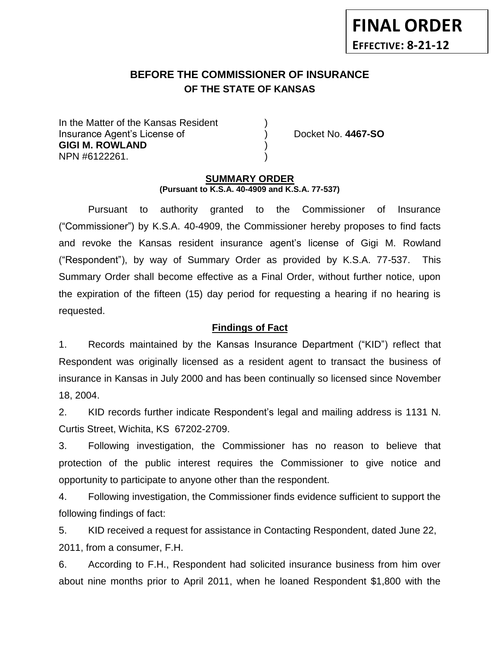# **BEFORE THE COMMISSIONER OF INSURANCE OF THE STATE OF KANSAS**

In the Matter of the Kansas Resident Insurance Agent's License of ) Docket No. **4467-SO GIGI M. ROWLAND** ) NPN #6122261. )

**FINAL ORDER**

**EFFECTIVE: 8-21-12**

#### **SUMMARY ORDER (Pursuant to K.S.A. 40-4909 and K.S.A. 77-537)**

Pursuant to authority granted to the Commissioner of Insurance ("Commissioner") by K.S.A. 40-4909, the Commissioner hereby proposes to find facts and revoke the Kansas resident insurance agent's license of Gigi M. Rowland ("Respondent"), by way of Summary Order as provided by K.S.A. 77-537. This Summary Order shall become effective as a Final Order, without further notice, upon the expiration of the fifteen (15) day period for requesting a hearing if no hearing is requested.

### **Findings of Fact**

1. Records maintained by the Kansas Insurance Department ("KID") reflect that Respondent was originally licensed as a resident agent to transact the business of insurance in Kansas in July 2000 and has been continually so licensed since November 18, 2004.

2. KID records further indicate Respondent's legal and mailing address is 1131 N. Curtis Street, Wichita, KS 67202-2709.

3. Following investigation, the Commissioner has no reason to believe that protection of the public interest requires the Commissioner to give notice and opportunity to participate to anyone other than the respondent.

4. Following investigation, the Commissioner finds evidence sufficient to support the following findings of fact:

5. KID received a request for assistance in Contacting Respondent, dated June 22, 2011, from a consumer, F.H.

6. According to F.H., Respondent had solicited insurance business from him over about nine months prior to April 2011, when he loaned Respondent \$1,800 with the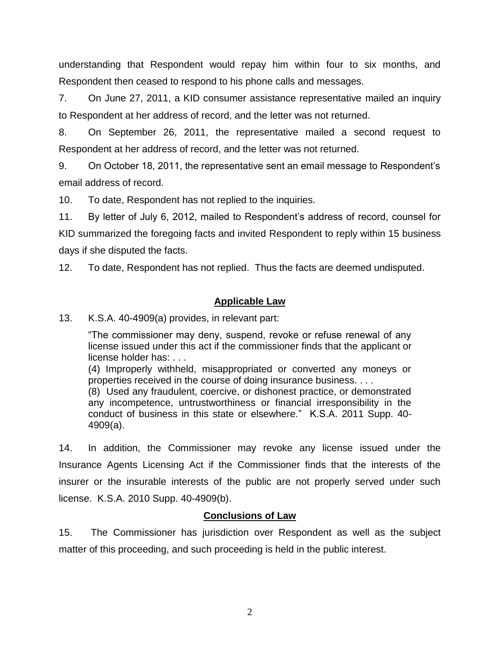understanding that Respondent would repay him within four to six months, and Respondent then ceased to respond to his phone calls and messages.

7. On June 27, 2011, a KID consumer assistance representative mailed an inquiry to Respondent at her address of record, and the letter was not returned.

8. On September 26, 2011, the representative mailed a second request to Respondent at her address of record, and the letter was not returned.

9. On October 18, 2011, the representative sent an email message to Respondent's email address of record.

10. To date, Respondent has not replied to the inquiries.

11. By letter of July 6, 2012, mailed to Respondent's address of record, counsel for KID summarized the foregoing facts and invited Respondent to reply within 15 business days if she disputed the facts.

12. To date, Respondent has not replied. Thus the facts are deemed undisputed.

# **Applicable Law**

13. K.S.A. 40-4909(a) provides, in relevant part:

"The commissioner may deny, suspend, revoke or refuse renewal of any license issued under this act if the commissioner finds that the applicant or license holder has: . . .

(4) Improperly withheld, misappropriated or converted any moneys or properties received in the course of doing insurance business. . . .

(8) Used any fraudulent, coercive, or dishonest practice, or demonstrated any incompetence, untrustworthiness or financial irresponsibility in the conduct of business in this state or elsewhere." K.S.A. 2011 Supp. 40- 4909(a).

14. In addition, the Commissioner may revoke any license issued under the Insurance Agents Licensing Act if the Commissioner finds that the interests of the insurer or the insurable interests of the public are not properly served under such license. K.S.A. 2010 Supp. 40-4909(b).

# **Conclusions of Law**

15. The Commissioner has jurisdiction over Respondent as well as the subject matter of this proceeding, and such proceeding is held in the public interest.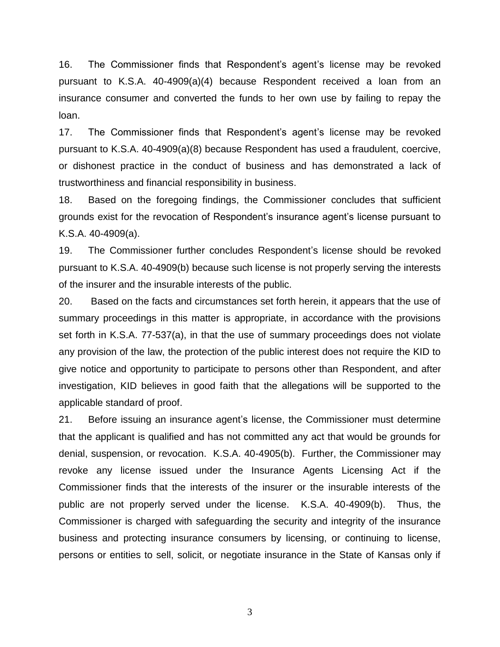16. The Commissioner finds that Respondent's agent's license may be revoked pursuant to K.S.A. 40-4909(a)(4) because Respondent received a loan from an insurance consumer and converted the funds to her own use by failing to repay the loan.

17. The Commissioner finds that Respondent's agent's license may be revoked pursuant to K.S.A. 40-4909(a)(8) because Respondent has used a fraudulent, coercive, or dishonest practice in the conduct of business and has demonstrated a lack of trustworthiness and financial responsibility in business.

18. Based on the foregoing findings, the Commissioner concludes that sufficient grounds exist for the revocation of Respondent's insurance agent's license pursuant to K.S.A. 40-4909(a).

19. The Commissioner further concludes Respondent's license should be revoked pursuant to K.S.A. 40-4909(b) because such license is not properly serving the interests of the insurer and the insurable interests of the public.

20. Based on the facts and circumstances set forth herein, it appears that the use of summary proceedings in this matter is appropriate, in accordance with the provisions set forth in K.S.A. 77-537(a), in that the use of summary proceedings does not violate any provision of the law, the protection of the public interest does not require the KID to give notice and opportunity to participate to persons other than Respondent, and after investigation, KID believes in good faith that the allegations will be supported to the applicable standard of proof.

21. Before issuing an insurance agent's license, the Commissioner must determine that the applicant is qualified and has not committed any act that would be grounds for denial, suspension, or revocation. K.S.A. 40-4905(b). Further, the Commissioner may revoke any license issued under the Insurance Agents Licensing Act if the Commissioner finds that the interests of the insurer or the insurable interests of the public are not properly served under the license. K.S.A. 40-4909(b). Thus, the Commissioner is charged with safeguarding the security and integrity of the insurance business and protecting insurance consumers by licensing, or continuing to license, persons or entities to sell, solicit, or negotiate insurance in the State of Kansas only if

3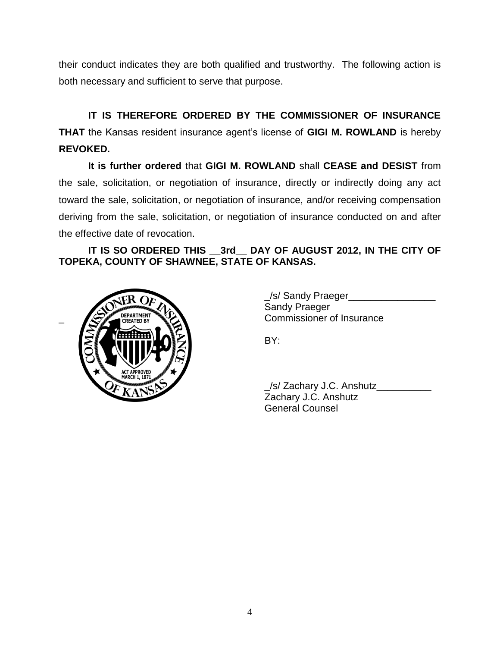their conduct indicates they are both qualified and trustworthy. The following action is both necessary and sufficient to serve that purpose.

**IT IS THEREFORE ORDERED BY THE COMMISSIONER OF INSURANCE THAT** the Kansas resident insurance agent's license of **GIGI M. ROWLAND** is hereby **REVOKED.** 

**It is further ordered** that **GIGI M. ROWLAND** shall **CEASE and DESIST** from the sale, solicitation, or negotiation of insurance, directly or indirectly doing any act toward the sale, solicitation, or negotiation of insurance, and/or receiving compensation deriving from the sale, solicitation, or negotiation of insurance conducted on and after the effective date of revocation.

**IT IS SO ORDERED THIS \_\_3rd\_\_ DAY OF AUGUST 2012, IN THE CITY OF TOPEKA, COUNTY OF SHAWNEE, STATE OF KANSAS.**



\_/s/ Sandy Praeger\_\_\_\_\_\_\_\_\_\_\_\_\_\_\_\_ Sandy Praeger \_ Commissioner of Insurance

BY:

\_/s/ Zachary J.C. Anshutz\_\_\_\_\_\_\_\_\_\_ Zachary J.C. Anshutz General Counsel